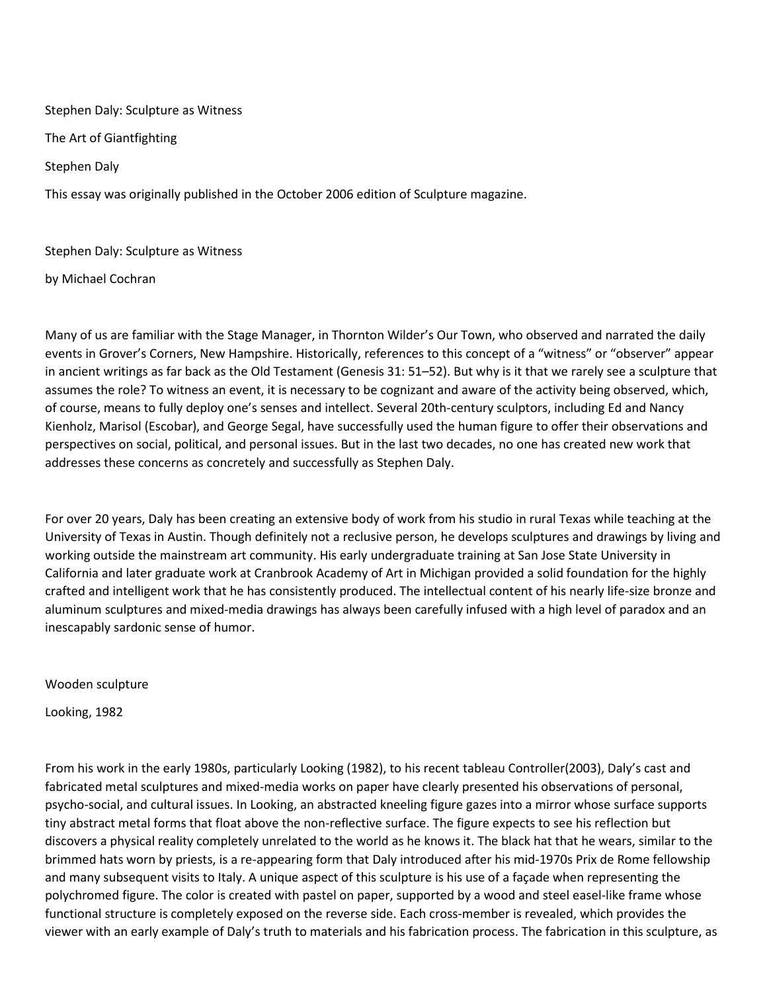Stephen Daly: Sculpture as Witness The Art of Giantfighting Stephen Daly This essay was originally published in the October 2006 edition of Sculpture magazine.

Stephen Daly: Sculpture as Witness

by Michael Cochran

Many of us are familiar with the Stage Manager, in Thornton Wilder's Our Town, who observed and narrated the daily events in Grover's Corners, New Hampshire. Historically, references to this concept of a "witness" or "observer" appear in ancient writings as far back as the Old Testament (Genesis 31: 51–52). But why is it that we rarely see a sculpture that assumes the role? To witness an event, it is necessary to be cognizant and aware of the activity being observed, which, of course, means to fully deploy one's senses and intellect. Several 20th-century sculptors, including Ed and Nancy Kienholz, Marisol (Escobar), and George Segal, have successfully used the human figure to offer their observations and perspectives on social, political, and personal issues. But in the last two decades, no one has created new work that addresses these concerns as concretely and successfully as Stephen Daly.

For over 20 years, Daly has been creating an extensive body of work from his studio in rural Texas while teaching at the University of Texas in Austin. Though definitely not a reclusive person, he develops sculptures and drawings by living and working outside the mainstream art community. His early undergraduate training at San Jose State University in California and later graduate work at Cranbrook Academy of Art in Michigan provided a solid foundation for the highly crafted and intelligent work that he has consistently produced. The intellectual content of his nearly life-size bronze and aluminum sculptures and mixed-media drawings has always been carefully infused with a high level of paradox and an inescapably sardonic sense of humor.

Wooden sculpture

Looking, 1982

From his work in the early 1980s, particularly Looking (1982), to his recent tableau Controller(2003), Daly's cast and fabricated metal sculptures and mixed-media works on paper have clearly presented his observations of personal, psycho-social, and cultural issues. In Looking, an abstracted kneeling figure gazes into a mirror whose surface supports tiny abstract metal forms that float above the non-reflective surface. The figure expects to see his reflection but discovers a physical reality completely unrelated to the world as he knows it. The black hat that he wears, similar to the brimmed hats worn by priests, is a re-appearing form that Daly introduced after his mid-1970s Prix de Rome fellowship and many subsequent visits to Italy. A unique aspect of this sculpture is his use of a façade when representing the polychromed figure. The color is created with pastel on paper, supported by a wood and steel easel-like frame whose functional structure is completely exposed on the reverse side. Each cross-member is revealed, which provides the viewer with an early example of Daly's truth to materials and his fabrication process. The fabrication in this sculpture, as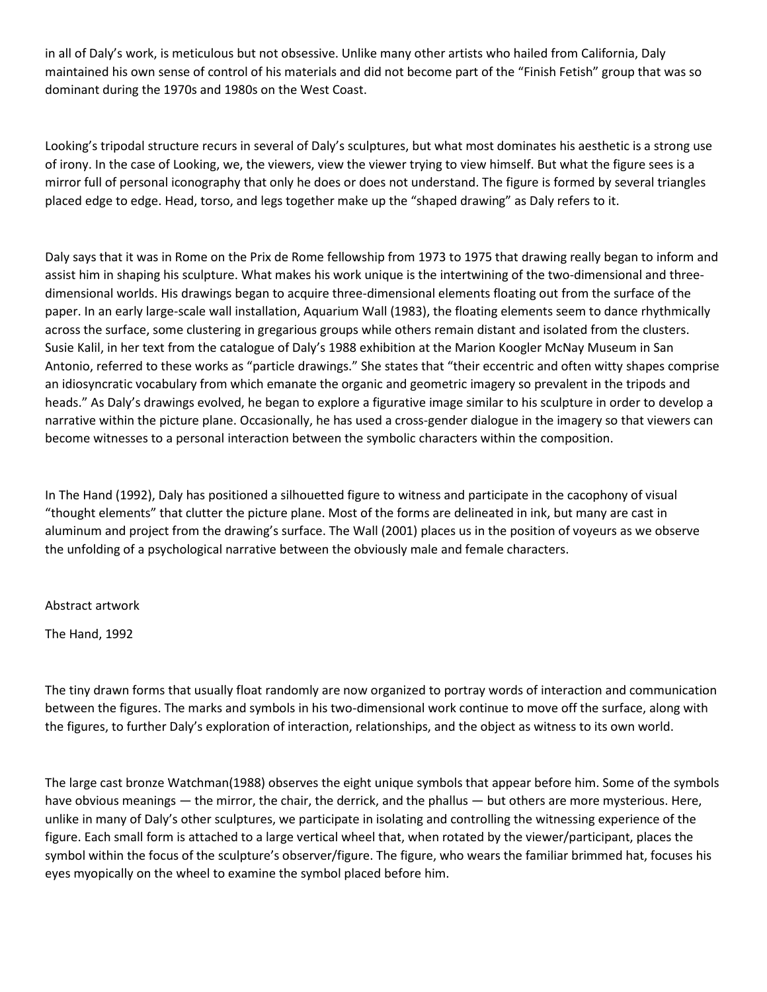in all of Daly's work, is meticulous but not obsessive. Unlike many other artists who hailed from California, Daly maintained his own sense of control of his materials and did not become part of the "Finish Fetish" group that was so dominant during the 1970s and 1980s on the West Coast.

Looking's tripodal structure recurs in several of Daly's sculptures, but what most dominates his aesthetic is a strong use of irony. In the case of Looking, we, the viewers, view the viewer trying to view himself. But what the figure sees is a mirror full of personal iconography that only he does or does not understand. The figure is formed by several triangles placed edge to edge. Head, torso, and legs together make up the "shaped drawing" as Daly refers to it.

Daly says that it was in Rome on the Prix de Rome fellowship from 1973 to 1975 that drawing really began to inform and assist him in shaping his sculpture. What makes his work unique is the intertwining of the two-dimensional and threedimensional worlds. His drawings began to acquire three-dimensional elements floating out from the surface of the paper. In an early large-scale wall installation, Aquarium Wall (1983), the floating elements seem to dance rhythmically across the surface, some clustering in gregarious groups while others remain distant and isolated from the clusters. Susie Kalil, in her text from the catalogue of Daly's 1988 exhibition at the Marion Koogler McNay Museum in San Antonio, referred to these works as "particle drawings." She states that "their eccentric and often witty shapes comprise an idiosyncratic vocabulary from which emanate the organic and geometric imagery so prevalent in the tripods and heads." As Daly's drawings evolved, he began to explore a figurative image similar to his sculpture in order to develop a narrative within the picture plane. Occasionally, he has used a cross-gender dialogue in the imagery so that viewers can become witnesses to a personal interaction between the symbolic characters within the composition.

In The Hand (1992), Daly has positioned a silhouetted figure to witness and participate in the cacophony of visual "thought elements" that clutter the picture plane. Most of the forms are delineated in ink, but many are cast in aluminum and project from the drawing's surface. The Wall (2001) places us in the position of voyeurs as we observe the unfolding of a psychological narrative between the obviously male and female characters.

Abstract artwork

The Hand, 1992

The tiny drawn forms that usually float randomly are now organized to portray words of interaction and communication between the figures. The marks and symbols in his two-dimensional work continue to move off the surface, along with the figures, to further Daly's exploration of interaction, relationships, and the object as witness to its own world.

The large cast bronze Watchman(1988) observes the eight unique symbols that appear before him. Some of the symbols have obvious meanings — the mirror, the chair, the derrick, and the phallus — but others are more mysterious. Here, unlike in many of Daly's other sculptures, we participate in isolating and controlling the witnessing experience of the figure. Each small form is attached to a large vertical wheel that, when rotated by the viewer/participant, places the symbol within the focus of the sculpture's observer/figure. The figure, who wears the familiar brimmed hat, focuses his eyes myopically on the wheel to examine the symbol placed before him.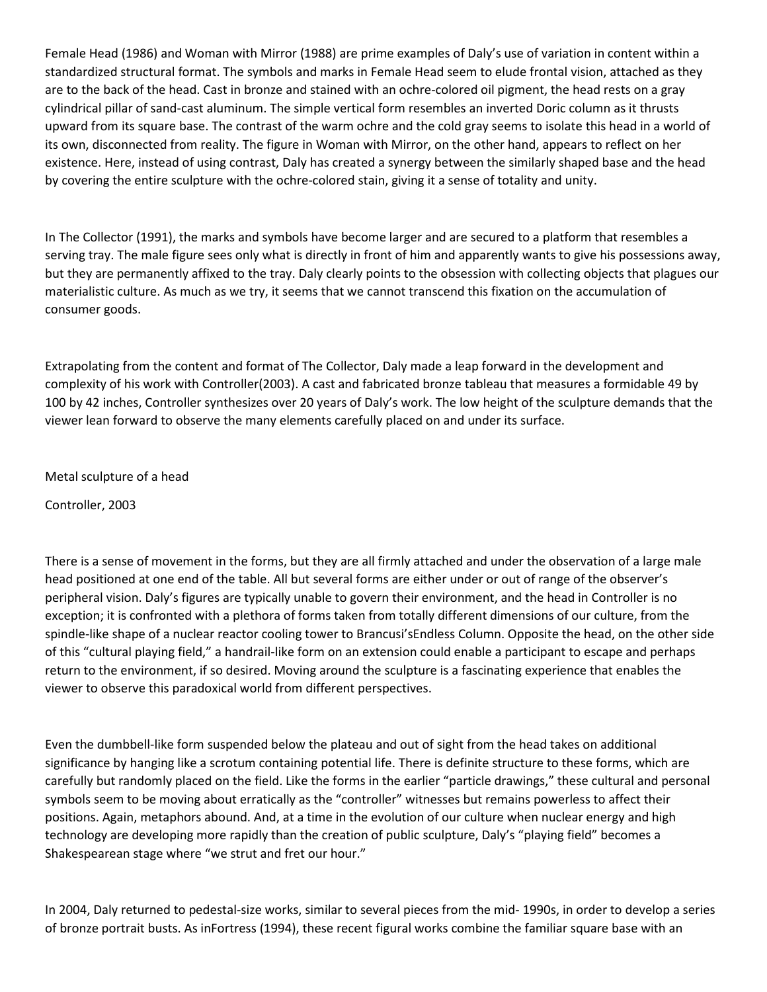Female Head (1986) and Woman with Mirror (1988) are prime examples of Daly's use of variation in content within a standardized structural format. The symbols and marks in Female Head seem to elude frontal vision, attached as they are to the back of the head. Cast in bronze and stained with an ochre-colored oil pigment, the head rests on a gray cylindrical pillar of sand-cast aluminum. The simple vertical form resembles an inverted Doric column as it thrusts upward from its square base. The contrast of the warm ochre and the cold gray seems to isolate this head in a world of its own, disconnected from reality. The figure in Woman with Mirror, on the other hand, appears to reflect on her existence. Here, instead of using contrast, Daly has created a synergy between the similarly shaped base and the head by covering the entire sculpture with the ochre-colored stain, giving it a sense of totality and unity.

In The Collector (1991), the marks and symbols have become larger and are secured to a platform that resembles a serving tray. The male figure sees only what is directly in front of him and apparently wants to give his possessions away, but they are permanently affixed to the tray. Daly clearly points to the obsession with collecting objects that plagues our materialistic culture. As much as we try, it seems that we cannot transcend this fixation on the accumulation of consumer goods.

Extrapolating from the content and format of The Collector, Daly made a leap forward in the development and complexity of his work with Controller(2003). A cast and fabricated bronze tableau that measures a formidable 49 by 100 by 42 inches, Controller synthesizes over 20 years of Daly's work. The low height of the sculpture demands that the viewer lean forward to observe the many elements carefully placed on and under its surface.

Metal sculpture of a head

Controller, 2003

There is a sense of movement in the forms, but they are all firmly attached and under the observation of a large male head positioned at one end of the table. All but several forms are either under or out of range of the observer's peripheral vision. Daly's figures are typically unable to govern their environment, and the head in Controller is no exception; it is confronted with a plethora of forms taken from totally different dimensions of our culture, from the spindle-like shape of a nuclear reactor cooling tower to Brancusi'sEndless Column. Opposite the head, on the other side of this "cultural playing field," a handrail-like form on an extension could enable a participant to escape and perhaps return to the environment, if so desired. Moving around the sculpture is a fascinating experience that enables the viewer to observe this paradoxical world from different perspectives.

Even the dumbbell-like form suspended below the plateau and out of sight from the head takes on additional significance by hanging like a scrotum containing potential life. There is definite structure to these forms, which are carefully but randomly placed on the field. Like the forms in the earlier "particle drawings," these cultural and personal symbols seem to be moving about erratically as the "controller" witnesses but remains powerless to affect their positions. Again, metaphors abound. And, at a time in the evolution of our culture when nuclear energy and high technology are developing more rapidly than the creation of public sculpture, Daly's "playing field" becomes a Shakespearean stage where "we strut and fret our hour."

In 2004, Daly returned to pedestal-size works, similar to several pieces from the mid- 1990s, in order to develop a series of bronze portrait busts. As inFortress (1994), these recent figural works combine the familiar square base with an